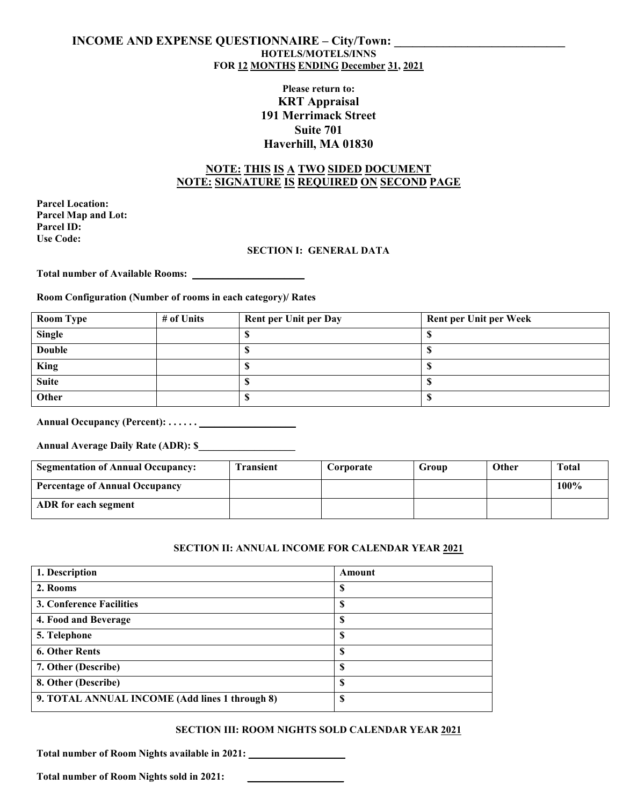### **INCOME AND EXPENSE QUESTIONNAIRE – City/Town: HOTELS/MOTELS/INNS FOR 12 MONTHS ENDING December 31, 2021**

# **Please return to: KRT Appraisal 191 Merrimack Street Suite 701 Haverhill, MA 01830**

## **NOTE: THIS IS A TWO SIDED DOCUMENT NOTE: SIGNATURE IS REQUIRED ON SECOND PAGE**

**Parcel Location: Parcel Map and Lot: Parcel ID: Use Code:**

### **SECTION I: GENERAL DATA**

**Total number of Available Rooms: \_\_\_\_\_\_\_\_\_\_\_\_\_\_\_\_\_\_\_\_\_\_**

### **Room Configuration (Number of rooms in each category)/ Rates**

| <b>Room Type</b> | # of Units | Rent per Unit per Day | <b>Rent per Unit per Week</b> |
|------------------|------------|-----------------------|-------------------------------|
| <b>Single</b>    |            |                       |                               |
| <b>Double</b>    |            |                       |                               |
| <b>King</b>      |            |                       |                               |
| <b>Suite</b>     |            |                       |                               |
| Other            |            |                       |                               |

# **Annual Occupancy (Percent): . . . . . . \_\_\_\_\_\_\_\_\_\_\_\_\_\_\_\_\_\_\_**

**Annual Average Daily Rate (ADR): \$\_\_\_\_\_\_\_\_\_\_\_\_\_\_\_\_\_\_\_**

| <b>Segmentation of Annual Occupancy:</b> | <b>Transient</b> | Corporate | Group | <b>Other</b> | Total |
|------------------------------------------|------------------|-----------|-------|--------------|-------|
| <b>Percentage of Annual Occupancy</b>    |                  |           |       |              | 100%  |
| ADR for each segment                     |                  |           |       |              |       |

### **SECTION II: ANNUAL INCOME FOR CALENDAR YEAR 2021**

| 1. Description                                 | Amount |
|------------------------------------------------|--------|
| 2. Rooms                                       | \$     |
| <b>3. Conference Facilities</b>                | S      |
| 4. Food and Beverage                           | S      |
| 5. Telephone                                   | \$     |
| <b>6. Other Rents</b>                          | \$     |
| 7. Other (Describe)                            | S      |
| 8. Other (Describe)                            | S      |
| 9. TOTAL ANNUAL INCOME (Add lines 1 through 8) | \$     |

### **SECTION III: ROOM NIGHTS SOLD CALENDAR YEAR 2021**

**Total number of Room Nights available in 2021: \_\_\_\_\_\_\_\_\_\_\_\_\_\_\_\_\_\_\_**

Total number of Room Nights sold in 2021: